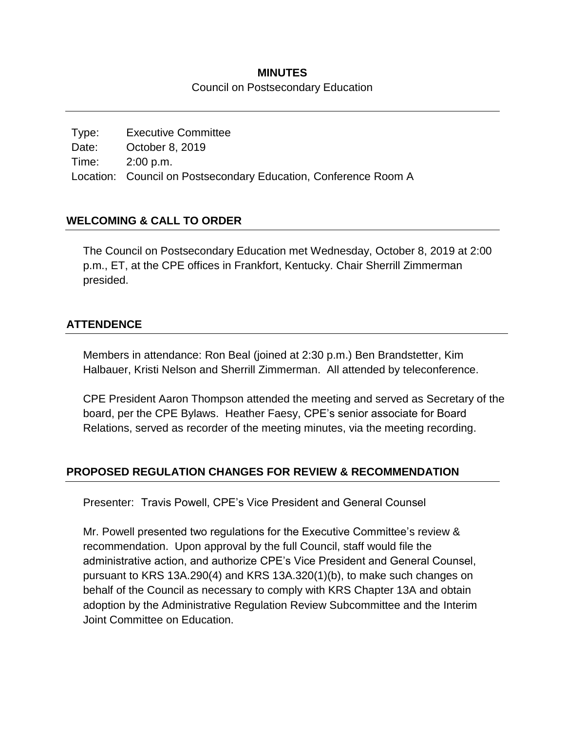### **MINUTES** Council on Postsecondary Education

Type: Executive Committee Date: October 8, 2019 Time: 2:00 p.m. Location: Council on Postsecondary Education, Conference Room A

# **WELCOMING & CALL TO ORDER**

The Council on Postsecondary Education met Wednesday, October 8, 2019 at 2:00 p.m., ET, at the CPE offices in Frankfort, Kentucky. Chair Sherrill Zimmerman presided.

### **ATTENDENCE**

Members in attendance: Ron Beal (joined at 2:30 p.m.) Ben Brandstetter, Kim Halbauer, Kristi Nelson and Sherrill Zimmerman. All attended by teleconference.

CPE President Aaron Thompson attended the meeting and served as Secretary of the board, per the CPE Bylaws. Heather Faesy, CPE's senior associate for Board Relations, served as recorder of the meeting minutes, via the meeting recording.

### **PROPOSED REGULATION CHANGES FOR REVIEW & RECOMMENDATION**

Presenter: Travis Powell, CPE's Vice President and General Counsel

Mr. Powell presented two regulations for the Executive Committee's review & recommendation. Upon approval by the full Council, staff would file the administrative action, and authorize CPE's Vice President and General Counsel, pursuant to KRS 13A.290(4) and KRS 13A.320(1)(b), to make such changes on behalf of the Council as necessary to comply with KRS Chapter 13A and obtain adoption by the Administrative Regulation Review Subcommittee and the Interim Joint Committee on Education.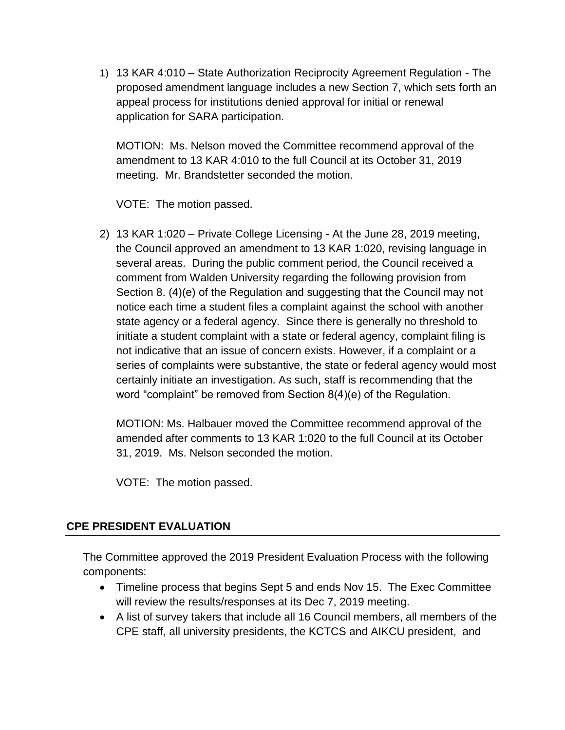1) 13 KAR 4:010 – State Authorization Reciprocity Agreement Regulation - The proposed amendment language includes a new Section 7, which sets forth an appeal process for institutions denied approval for initial or renewal application for SARA participation.

MOTION: Ms. Nelson moved the Committee recommend approval of the amendment to 13 KAR 4:010 to the full Council at its October 31, 2019 meeting. Mr. Brandstetter seconded the motion.

VOTE: The motion passed.

2) 13 KAR 1:020 – Private College Licensing - At the June 28, 2019 meeting, the Council approved an amendment to 13 KAR 1:020, revising language in several areas. During the public comment period, the Council received a comment from Walden University regarding the following provision from Section 8. (4)(e) of the Regulation and suggesting that the Council may not notice each time a student files a complaint against the school with another state agency or a federal agency. Since there is generally no threshold to initiate a student complaint with a state or federal agency, complaint filing is not indicative that an issue of concern exists. However, if a complaint or a series of complaints were substantive, the state or federal agency would most certainly initiate an investigation. As such, staff is recommending that the word "complaint" be removed from Section 8(4)(e) of the Regulation.

MOTION: Ms. Halbauer moved the Committee recommend approval of the amended after comments to 13 KAR 1:020 to the full Council at its October 31, 2019. Ms. Nelson seconded the motion.

VOTE: The motion passed.

# **CPE PRESIDENT EVALUATION**

The Committee approved the 2019 President Evaluation Process with the following components:

- Timeline process that begins Sept 5 and ends Nov 15. The Exec Committee will review the results/responses at its Dec 7, 2019 meeting.
- A list of survey takers that include all 16 Council members, all members of the CPE staff, all university presidents, the KCTCS and AIKCU president, and